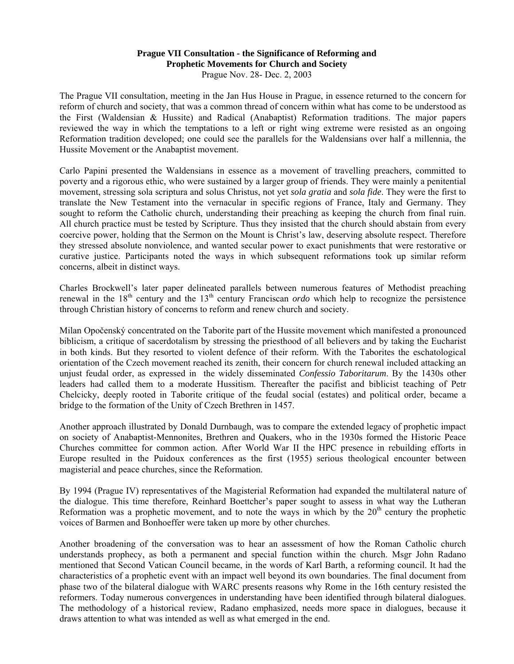## **Prague VII Consultation - the Significance of Reforming and Prophetic Movements for Church and Society**  Prague Nov. 28- Dec. 2, 2003

The Prague VII consultation, meeting in the Jan Hus House in Prague, in essence returned to the concern for reform of church and society, that was a common thread of concern within what has come to be understood as the First (Waldensian & Hussite) and Radical (Anabaptist) Reformation traditions. The major papers reviewed the way in which the temptations to a left or right wing extreme were resisted as an ongoing Reformation tradition developed; one could see the parallels for the Waldensians over half a millennia, the Hussite Movement or the Anabaptist movement.

Carlo Papini presented the Waldensians in essence as a movement of travelling preachers, committed to poverty and a rigorous ethic, who were sustained by a larger group of friends. They were mainly a penitential movement, stressing sola scriptura and solus Christus, not yet *sola gratia* and *sola fide*. They were the first to translate the New Testament into the vernacular in specific regions of France, Italy and Germany. They sought to reform the Catholic church, understanding their preaching as keeping the church from final ruin. All church practice must be tested by Scripture. Thus they insisted that the church should abstain from every coercive power, holding that the Sermon on the Mount is Christ's law, deserving absolute respect. Therefore they stressed absolute nonviolence, and wanted secular power to exact punishments that were restorative or curative justice. Participants noted the ways in which subsequent reformations took up similar reform concerns, albeit in distinct ways.

Charles Brockwell's later paper delineated parallels between numerous features of Methodist preaching renewal in the  $18<sup>th</sup>$  century and the  $13<sup>th</sup>$  century Franciscan *ordo* which help to recognize the persistence through Christian history of concerns to reform and renew church and society.

Milan Opočenský concentrated on the Taborite part of the Hussite movement which manifested a pronounced biblicism, a critique of sacerdotalism by stressing the priesthood of all believers and by taking the Eucharist in both kinds. But they resorted to violent defence of their reform. With the Taborites the eschatological orientation of the Czech movement reached its zenith, their concern for church renewal included attacking an unjust feudal order, as expressed in the widely disseminated *Confessio Taboritarum*. By the 1430s other leaders had called them to a moderate Hussitism. Thereafter the pacifist and biblicist teaching of Petr Chelcicky, deeply rooted in Taborite critique of the feudal social (estates) and political order, became a bridge to the formation of the Unity of Czech Brethren in 1457.

Another approach illustrated by Donald Durnbaugh, was to compare the extended legacy of prophetic impact on society of Anabaptist-Mennonites, Brethren and Quakers, who in the 1930s formed the Historic Peace Churches committee for common action. After World War II the HPC presence in rebuilding efforts in Europe resulted in the Puidoux conferences as the first (1955) serious theological encounter between magisterial and peace churches, since the Reformation.

By 1994 (Prague IV) representatives of the Magisterial Reformation had expanded the multilateral nature of the dialogue. This time therefore, Reinhard Boettcher's paper sought to assess in what way the Lutheran Reformation was a prophetic movement, and to note the ways in which by the  $20<sup>th</sup>$  century the prophetic voices of Barmen and Bonhoeffer were taken up more by other churches.

Another broadening of the conversation was to hear an assessment of how the Roman Catholic church understands prophecy, as both a permanent and special function within the church. Msgr John Radano mentioned that Second Vatican Council became, in the words of Karl Barth, a reforming council. It had the characteristics of a prophetic event with an impact well beyond its own boundaries. The final document from phase two of the bilateral dialogue with WARC presents reasons why Rome in the 16th century resisted the reformers. Today numerous convergences in understanding have been identified through bilateral dialogues. The methodology of a historical review, Radano emphasized, needs more space in dialogues, because it draws attention to what was intended as well as what emerged in the end.